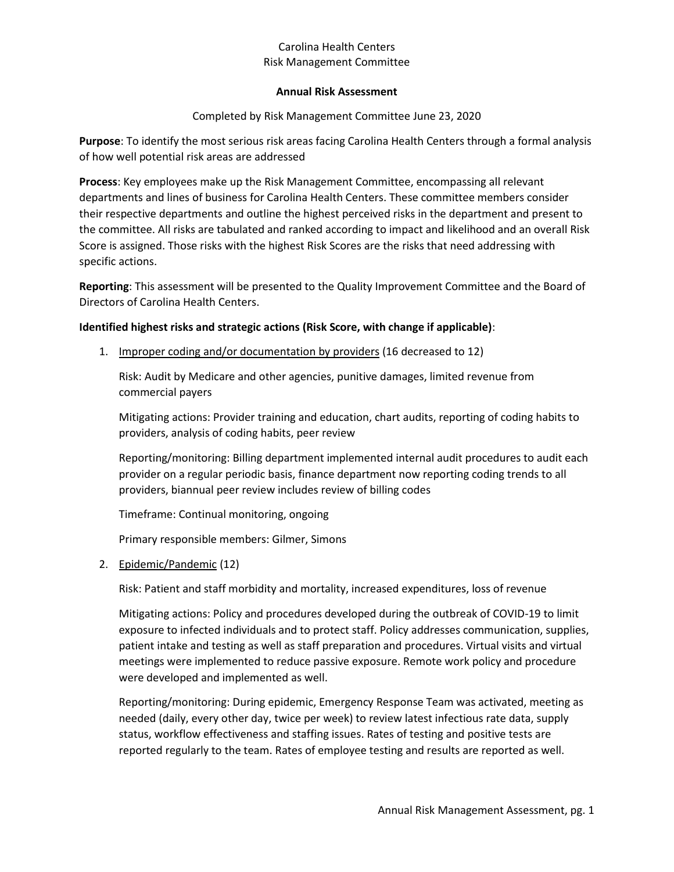#### **Annual Risk Assessment**

### Completed by Risk Management Committee June 23, 2020

**Purpose**: To identify the most serious risk areas facing Carolina Health Centers through a formal analysis of how well potential risk areas are addressed

**Process**: Key employees make up the Risk Management Committee, encompassing all relevant departments and lines of business for Carolina Health Centers. These committee members consider their respective departments and outline the highest perceived risks in the department and present to the committee. All risks are tabulated and ranked according to impact and likelihood and an overall Risk Score is assigned. Those risks with the highest Risk Scores are the risks that need addressing with specific actions.

**Reporting**: This assessment will be presented to the Quality Improvement Committee and the Board of Directors of Carolina Health Centers.

### **Identified highest risks and strategic actions (Risk Score, with change if applicable)**:

1. Improper coding and/or documentation by providers (16 decreased to 12)

Risk: Audit by Medicare and other agencies, punitive damages, limited revenue from commercial payers

Mitigating actions: Provider training and education, chart audits, reporting of coding habits to providers, analysis of coding habits, peer review

Reporting/monitoring: Billing department implemented internal audit procedures to audit each provider on a regular periodic basis, finance department now reporting coding trends to all providers, biannual peer review includes review of billing codes

Timeframe: Continual monitoring, ongoing

Primary responsible members: Gilmer, Simons

2. Epidemic/Pandemic (12)

Risk: Patient and staff morbidity and mortality, increased expenditures, loss of revenue

Mitigating actions: Policy and procedures developed during the outbreak of COVID-19 to limit exposure to infected individuals and to protect staff. Policy addresses communication, supplies, patient intake and testing as well as staff preparation and procedures. Virtual visits and virtual meetings were implemented to reduce passive exposure. Remote work policy and procedure were developed and implemented as well.

Reporting/monitoring: During epidemic, Emergency Response Team was activated, meeting as needed (daily, every other day, twice per week) to review latest infectious rate data, supply status, workflow effectiveness and staffing issues. Rates of testing and positive tests are reported regularly to the team. Rates of employee testing and results are reported as well.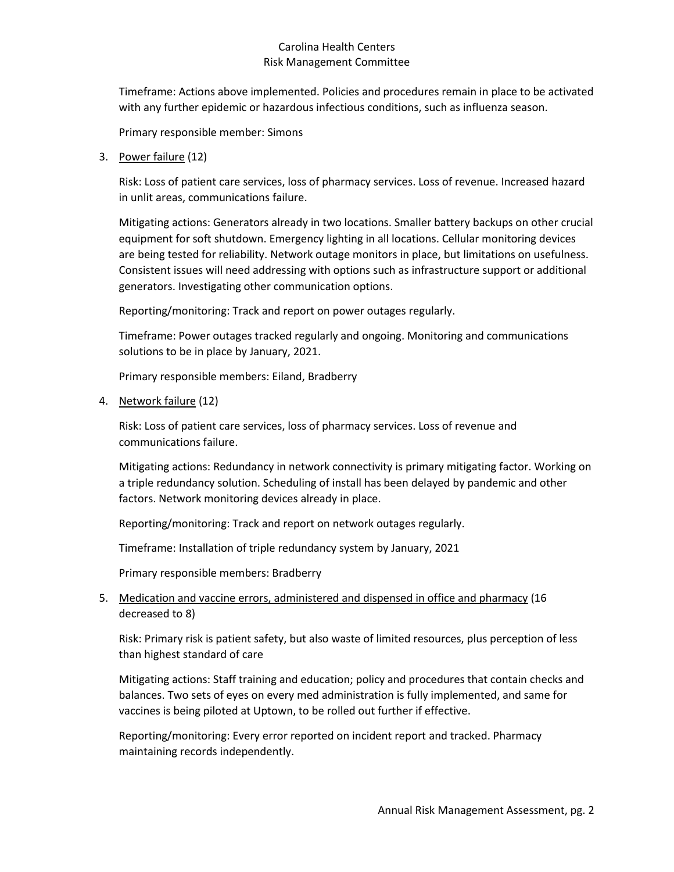Timeframe: Actions above implemented. Policies and procedures remain in place to be activated with any further epidemic or hazardous infectious conditions, such as influenza season.

Primary responsible member: Simons

3. Power failure (12)

Risk: Loss of patient care services, loss of pharmacy services. Loss of revenue. Increased hazard in unlit areas, communications failure.

Mitigating actions: Generators already in two locations. Smaller battery backups on other crucial equipment for soft shutdown. Emergency lighting in all locations. Cellular monitoring devices are being tested for reliability. Network outage monitors in place, but limitations on usefulness. Consistent issues will need addressing with options such as infrastructure support or additional generators. Investigating other communication options.

Reporting/monitoring: Track and report on power outages regularly.

Timeframe: Power outages tracked regularly and ongoing. Monitoring and communications solutions to be in place by January, 2021.

Primary responsible members: Eiland, Bradberry

4. Network failure (12)

Risk: Loss of patient care services, loss of pharmacy services. Loss of revenue and communications failure.

Mitigating actions: Redundancy in network connectivity is primary mitigating factor. Working on a triple redundancy solution. Scheduling of install has been delayed by pandemic and other factors. Network monitoring devices already in place.

Reporting/monitoring: Track and report on network outages regularly.

Timeframe: Installation of triple redundancy system by January, 2021

Primary responsible members: Bradberry

# 5. Medication and vaccine errors, administered and dispensed in office and pharmacy (16 decreased to 8)

Risk: Primary risk is patient safety, but also waste of limited resources, plus perception of less than highest standard of care

Mitigating actions: Staff training and education; policy and procedures that contain checks and balances. Two sets of eyes on every med administration is fully implemented, and same for vaccines is being piloted at Uptown, to be rolled out further if effective.

Reporting/monitoring: Every error reported on incident report and tracked. Pharmacy maintaining records independently.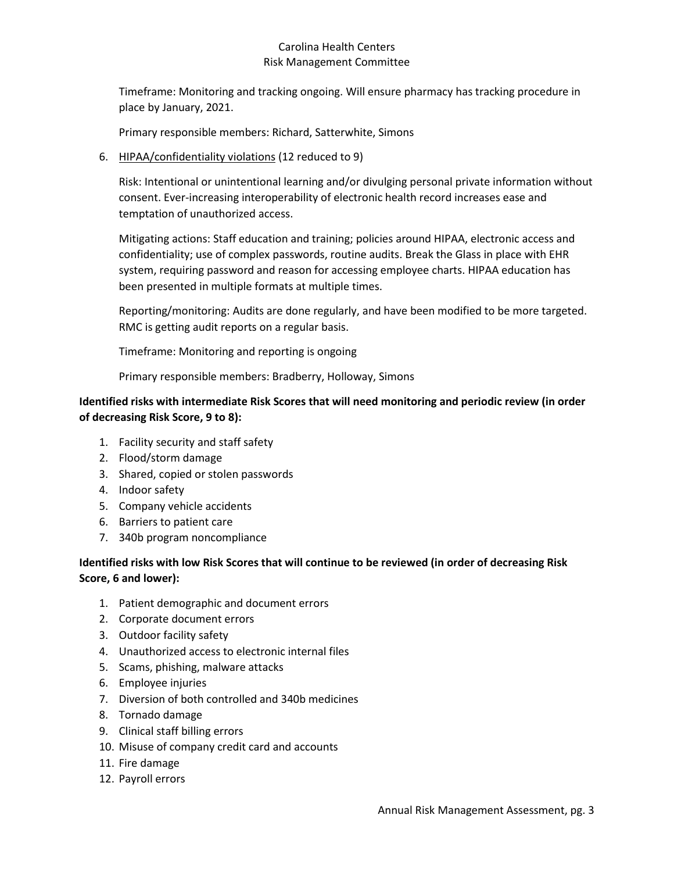Timeframe: Monitoring and tracking ongoing. Will ensure pharmacy has tracking procedure in place by January, 2021.

Primary responsible members: Richard, Satterwhite, Simons

6. HIPAA/confidentiality violations (12 reduced to 9)

Risk: Intentional or unintentional learning and/or divulging personal private information without consent. Ever-increasing interoperability of electronic health record increases ease and temptation of unauthorized access.

Mitigating actions: Staff education and training; policies around HIPAA, electronic access and confidentiality; use of complex passwords, routine audits. Break the Glass in place with EHR system, requiring password and reason for accessing employee charts. HIPAA education has been presented in multiple formats at multiple times.

Reporting/monitoring: Audits are done regularly, and have been modified to be more targeted. RMC is getting audit reports on a regular basis.

Timeframe: Monitoring and reporting is ongoing

Primary responsible members: Bradberry, Holloway, Simons

# **Identified risks with intermediate Risk Scores that will need monitoring and periodic review (in order of decreasing Risk Score, 9 to 8):**

- 1. Facility security and staff safety
- 2. Flood/storm damage
- 3. Shared, copied or stolen passwords
- 4. Indoor safety
- 5. Company vehicle accidents
- 6. Barriers to patient care
- 7. 340b program noncompliance

# **Identified risks with low Risk Scores that will continue to be reviewed (in order of decreasing Risk Score, 6 and lower):**

- 1. Patient demographic and document errors
- 2. Corporate document errors
- 3. Outdoor facility safety
- 4. Unauthorized access to electronic internal files
- 5. Scams, phishing, malware attacks
- 6. Employee injuries
- 7. Diversion of both controlled and 340b medicines
- 8. Tornado damage
- 9. Clinical staff billing errors
- 10. Misuse of company credit card and accounts
- 11. Fire damage
- 12. Payroll errors